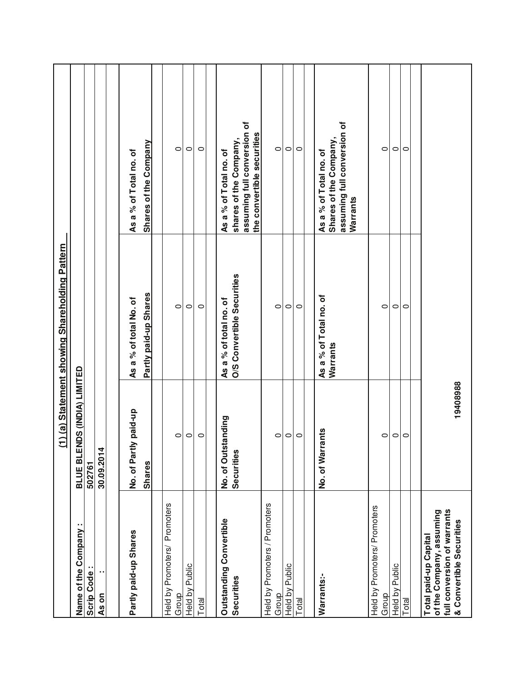|                                                                                                              |                                    | (1) (a) Statement showing Shareholding Pattern |                                                                                             |
|--------------------------------------------------------------------------------------------------------------|------------------------------------|------------------------------------------------|---------------------------------------------------------------------------------------------|
| ٠,<br>Name of the Company                                                                                    | <b>BLUE BLENDS (INDIA) LIMITED</b> |                                                |                                                                                             |
| Scrip Code:                                                                                                  | 502761                             |                                                |                                                                                             |
| As on                                                                                                        | 30.09.2014                         |                                                |                                                                                             |
|                                                                                                              |                                    |                                                |                                                                                             |
| Partly paid-up Shares                                                                                        | tly paid-up<br>No. of Part         | As a % of total No. of                         | As a % of Total no. of                                                                      |
|                                                                                                              | <b>Shares</b>                      | Partly paid-up Shares                          | <b>Shares of the Company</b>                                                                |
|                                                                                                              |                                    |                                                |                                                                                             |
| Promoters<br>Held by Promoters/<br>Group                                                                     | 0                                  | $\circ$                                        | 0                                                                                           |
| Held by Public                                                                                               | $\circ$                            | $\circ$                                        | $\circ$                                                                                     |
| Total                                                                                                        | $\circ$                            | $\circ$                                        | $\circ$                                                                                     |
|                                                                                                              |                                    |                                                |                                                                                             |
| Outstanding Convertible                                                                                      | No. of Outstanding                 | As a % of total no. of                         | As a % of Total no. of                                                                      |
| Securities                                                                                                   | Securities                         | O/S Convertible Securities                     | assuming full conversion of<br>shares of the Company,                                       |
|                                                                                                              |                                    |                                                | the convertible securities                                                                  |
| Held by Promoters / Promoters<br>Group                                                                       | $\circ$                            | $\circ$                                        | $\circ$                                                                                     |
| Held by Public                                                                                               | $\circ$                            | $\circ$                                        | $\circ$                                                                                     |
| Total                                                                                                        | $\circ$                            | $\circ$                                        | $\circ$                                                                                     |
|                                                                                                              |                                    |                                                |                                                                                             |
| Warrants:-                                                                                                   | No. of Warrants                    | As a % of Total no. of<br>Warrants             | assuming full conversion of<br>Shares of the Company,<br>As a % of Total no. of<br>Warrants |
| Held by Promoters/ Promoters<br>Group                                                                        | 0                                  | $\circ$                                        | 0                                                                                           |
| Held by Public                                                                                               | $\circ$                            | $\circ$                                        | $\circ$                                                                                     |
| Total                                                                                                        | $\circ$                            | $\circ$                                        | $\circ$                                                                                     |
| full conversion of warrants<br>of the Company, assuming<br>& Convertible Securities<br>Total paid-up Capital | 19408988                           |                                                |                                                                                             |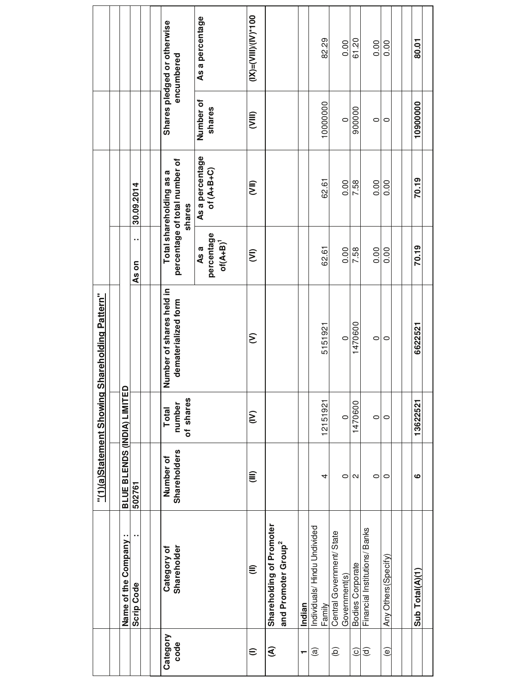|                        |                                                   | "(1)(a)Statement Showing    |                                 | Shareholding Pattern"    |                    |                                         |                     |                             |
|------------------------|---------------------------------------------------|-----------------------------|---------------------------------|--------------------------|--------------------|-----------------------------------------|---------------------|-----------------------------|
|                        | Name of the Company:                              | BLUE BLENDS (INDIA) LIMITED |                                 |                          |                    |                                         |                     |                             |
|                        | <b>Scrip Code</b>                                 | 502761                      |                                 |                          | As on              | 30.09.2014                              |                     |                             |
|                        |                                                   |                             |                                 |                          |                    |                                         |                     |                             |
|                        |                                                   |                             |                                 |                          |                    |                                         |                     |                             |
| Category               | Category of                                       | Number of                   | Total                           | Number of shares held in |                    | Total shareholding as a                 |                     | Shares pledged or otherwise |
| code                   | Shareholder                                       | Shareholders                | of shares<br>number             | dematerialized form      |                    | percentage of total number of<br>shares |                     | encumbered                  |
|                        |                                                   |                             |                                 |                          | percentage<br>As a | As a percentage<br>of $(A+B+C)$         | Number of<br>shares | As a percentage             |
|                        |                                                   |                             |                                 |                          | $of(A+B)^T$        |                                         |                     |                             |
| €                      | €                                                 | €                           | $\widehat{\boldsymbol{\Sigma}}$ | ε                        | ξ                  | (IIX)                                   | <b>E</b>            | $(1)$ $(2)$ $-1$ $(2)$ $-1$ |
| €                      | Shareholding of Promoter                          |                             |                                 |                          |                    |                                         |                     |                             |
|                        | and Promoter Group <sup>2</sup>                   |                             |                                 |                          |                    |                                         |                     |                             |
| $\blacksquare$         | Indian                                            |                             |                                 |                          |                    |                                         |                     |                             |
| @                      | Individuals/Hindu Undivided                       |                             |                                 |                          |                    |                                         |                     |                             |
|                        | Family                                            | 4                           | 12151921                        | 5151921                  | 62.61              | 62.61                                   | 10000000            | 82.29                       |
| $\widehat{\mathbf{e}}$ | Central Government/ State                         |                             |                                 |                          |                    |                                         |                     |                             |
|                        | Government(s)                                     | $\circ$                     | $\circ$                         | $\circ$                  | 0.00               | 0.00                                    | $\circ$             | 0.00                        |
| $\odot$                |                                                   | N                           | 1470600                         | 1470600                  | 7.58               | 7.58                                    | 900000              | 61.20                       |
| $\widehat{\mathbf{c}}$ | Bodies Corporate<br>Financial Institutions/ Banks | 0                           | $\circ$                         | $\circ$                  | 0.00               | 0.00                                    |                     | 0.00                        |
|                        |                                                   |                             |                                 |                          |                    |                                         | 0                   |                             |
| ම                      | Any Others (Specify)                              | 0                           | $\circ$                         | 0                        | 0.00               | 0.00                                    | 0                   | 0.00                        |
|                        |                                                   |                             |                                 |                          |                    |                                         |                     |                             |
|                        |                                                   |                             |                                 |                          |                    |                                         |                     |                             |
|                        | Sub Total(A)(1)                                   | ဖ                           | 13622521                        | 6622521                  | 70.19              | 70.19                                   | 10900000            | 80.01                       |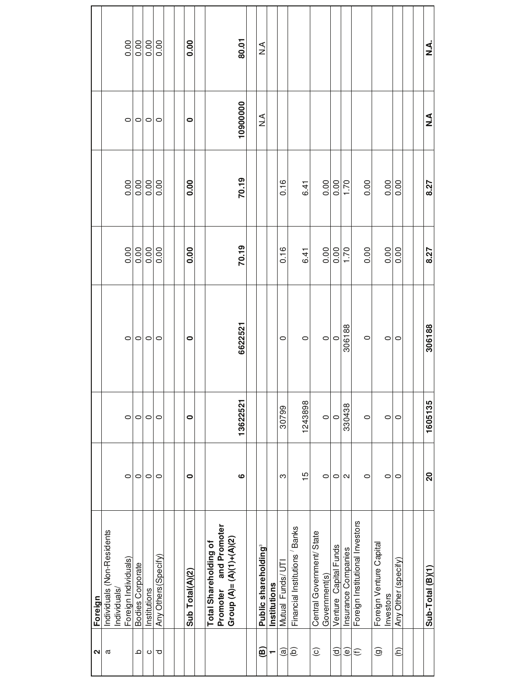| $\mathbf{\Omega}$      | Foreign                                           |                   |          |           |       |             |               |               |
|------------------------|---------------------------------------------------|-------------------|----------|-----------|-------|-------------|---------------|---------------|
| a                      | Individuals (Non-Residents<br>Individuals         |                   |          |           |       |             |               |               |
|                        | Foreign Individuals)                              | $\circ$           | $\circ$  | $\circ$   | 0.00  | 0.00        | $\circ$       | 0.00          |
| ٩                      | <b>Bodies Corporate</b>                           | $\circ$           | $\circ$  | $\circ$   | 0.00  | 0.00        | $\circ$       | 0.00          |
| O                      | Institutions                                      | 0                 | 0        | 0         | 0.00  | $rac{0}{0}$ | 0             | $rac{0}{0}$   |
| ರ                      | Any Others(Specify)                               | $\circ$           | $\circ$  | $\circ$   | 0.00  | 0.00        | $\circ$       | 0.00          |
|                        |                                                   |                   |          |           |       |             |               |               |
|                        |                                                   |                   |          |           |       |             |               |               |
|                        | Sub Total(A)(2)                                   | 0                 | 0        | $\bullet$ | 0.00  | 0.00        | $\bullet$     | 0.00          |
|                        |                                                   |                   |          |           |       |             |               |               |
|                        | Total Shareholding of                             |                   |          |           |       |             |               |               |
|                        | Promoter and Promoter<br>Group (A)= (A)(1)+(A)(2) |                   |          |           |       |             |               |               |
|                        |                                                   | ဖ                 | 13622521 | 6622521   | 70.19 | 70.19       | 10900000      | 80.01         |
|                        |                                                   |                   |          |           |       |             |               |               |
| ම                      | Public shareholding <sup>3</sup>                  |                   |          |           |       |             | $\frac{1}{2}$ | $\frac{4}{2}$ |
| ↽                      | Institutions                                      |                   |          |           |       |             |               |               |
| $\widehat{a}$          | Mutual Funds/ UTI                                 | ო                 | 30799    | $\circ$   | 0.16  | 0.16        |               |               |
| ê                      | Financial Institutions Banks                      |                   |          |           |       |             |               |               |
|                        |                                                   | 15                | 1243898  | $\circ$   | 6.41  | 6.41        |               |               |
| $\odot$                | Central Government/State                          |                   |          |           |       |             |               |               |
|                        | Government(s)                                     | $\circ$           | $\circ$  | $\circ$   | 0.00  | 0.00        |               |               |
| $\widehat{\sigma}$     | Venture Capital Funds                             | 0                 | $\circ$  | $\circ$   | 0.00  | 0.00        |               |               |
| $\widehat{\mathbf{e}}$ | Insurance Companies                               | $\mathbf{\Omega}$ | 330438   | 306188    | 1.70  | 1.70        |               |               |
| $\mathfrak{S}$         | Foreign Institutional Investors                   |                   |          |           |       |             |               |               |
|                        |                                                   | 0                 | $\circ$  | $\circ$   | 0.00  | 0.00        |               |               |
| $\widehat{\mathbf{e}}$ | Foreign Venture Capital                           |                   |          |           |       |             |               |               |
|                        | Investors                                         | 0                 | $\circ$  | 0         | 0.00  | 0.00        |               |               |
| $\widehat{\epsilon}$   | Any Other (specify)                               | $\circ$           | $\circ$  | $\circ$   | 0.00  | 0.00        |               |               |
|                        |                                                   |                   |          |           |       |             |               |               |
|                        |                                                   |                   |          |           |       |             |               |               |
|                        | $Sub-Total(B)(1)$                                 | 20                | 1605135  | 306188    | 8.27  | 8.27        | ∡<br>z        | ₹<br>≾        |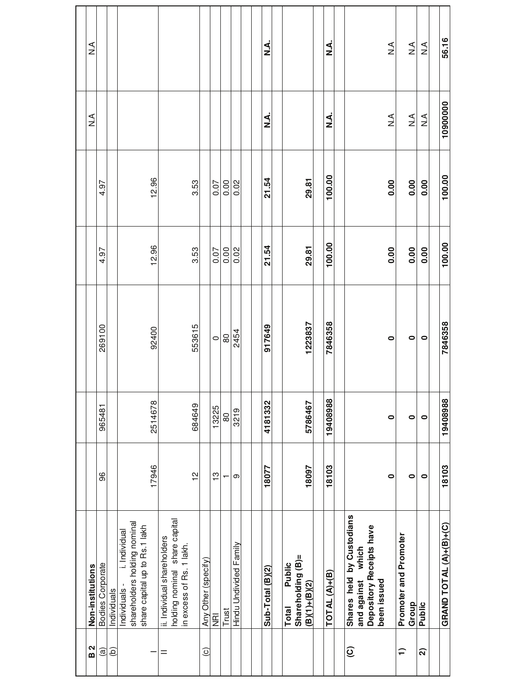| 2<br>മ                  | Non-institutions                                                            |               |           |           |        |        | ≤<br>N                         | $\frac{1}{2}$    |
|-------------------------|-----------------------------------------------------------------------------|---------------|-----------|-----------|--------|--------|--------------------------------|------------------|
| @                       | Bodies Corporate                                                            | 96            | 965481    | 269100    | 4.97   | 4.97   |                                |                  |
| $\widehat{e}$           | Individuals                                                                 |               |           |           |        |        |                                |                  |
|                         | i. Individual<br>Individuals -                                              |               |           |           |        |        |                                |                  |
|                         | shareholders holding nominal                                                |               |           |           |        |        |                                |                  |
|                         | share capital up to Rs.1 lakh                                               |               | 2514678   |           |        |        |                                |                  |
|                         |                                                                             | 17946         |           | 92400     | 12.96  | 12.96  |                                |                  |
| Ξ                       | ii. Individual shareholders                                                 |               |           |           |        |        |                                |                  |
|                         | holding nominal share capital                                               |               |           |           |        |        |                                |                  |
|                         | in excess of Rs. 1 lakh.                                                    |               |           |           |        |        |                                |                  |
|                         |                                                                             | $\frac{1}{2}$ | 684649    | 553615    | 3.53   | 3.53   |                                |                  |
| $\odot$                 | Any Other (specify)                                                         |               |           |           |        |        |                                |                  |
|                         | $\bar{\mathbf{g}}$                                                          | $\frac{1}{2}$ | 13225     | $\circ$   | 0.07   | 0.07   |                                |                  |
|                         | Trust                                                                       |               | 80        | $80$      | 0.00   | 0.00   |                                |                  |
|                         | Hindu Undivided Family                                                      | တ             | 3219      | 2454      | 0.02   | 0.02   |                                |                  |
|                         |                                                                             |               |           |           |        |        |                                |                  |
|                         |                                                                             |               |           |           |        |        |                                |                  |
|                         | Sub-Total (B)(2)                                                            | 18077         | 4181332   | 917649    | 21.54  | 21.54  | ረ<br>∠                         | نې<br>Z          |
|                         |                                                                             |               |           |           |        |        |                                |                  |
|                         | Public<br>Total                                                             |               |           |           |        |        |                                |                  |
|                         | Shareholding (B)=                                                           |               |           |           |        |        |                                |                  |
|                         | $(B)(1)+(B)(2)$                                                             | 18097         | 5786467   | 1223837   | 29.81  | 29.81  |                                |                  |
|                         |                                                                             |               |           |           |        |        |                                |                  |
|                         | $\mathsf{TOTAL}\left(\mathsf{A}\right)_{\mathsf{+}}\left(\mathsf{B}\right)$ | 18103         | 19408988  | 7846358   | 100.00 | 100.00 | نج<br>Z                        | نج<br>Z          |
|                         |                                                                             |               |           |           |        |        |                                |                  |
| $\widehat{\mathcal{Q}}$ | Shares held by Custodians                                                   |               |           |           |        |        |                                |                  |
|                         | which<br>and against                                                        |               |           |           |        |        |                                |                  |
|                         | Depository Receipts have                                                    |               |           |           |        |        |                                |                  |
|                         | been issued                                                                 |               |           |           |        |        |                                |                  |
|                         |                                                                             | $\bullet$     | $\bullet$ | $\bullet$ | 0.00   | 0.00   | $\frac{1}{2}$                  | $\frac{1}{2}$    |
| ≘                       | Promoter and Promoter                                                       |               |           |           |        |        |                                |                  |
|                         | Group                                                                       | 0             | 0         | $\bullet$ | 0.00   | 0.00   | $\stackrel{\triangle}{\simeq}$ | $\sum_{i=1}^{n}$ |
| ล                       | <b>Public</b>                                                               | $\bullet$     | $\bullet$ | $\bullet$ | 0.00   | 0.00   | $\frac{4}{2}$                  | $\frac{4}{2}$    |
|                         |                                                                             |               |           |           |        |        |                                |                  |
|                         | <b>GRAND TOTAL (A)+(B)+(C)</b>                                              | 18103         | 19408988  | 7846358   | 100.00 | 100.00 | 10900000                       | 56.16            |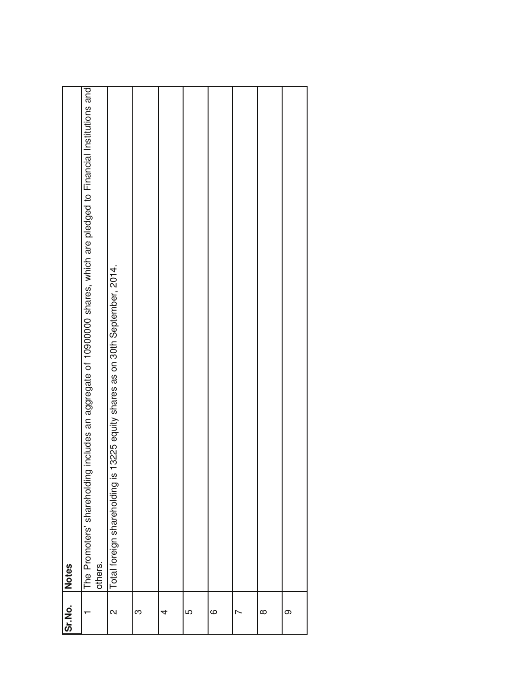| Sr.No.       | <b>Notes</b>                                                                                                                        |
|--------------|-------------------------------------------------------------------------------------------------------------------------------------|
|              | includes an aggregate of 10900000 shares, which are pledged to Financial Institutions and<br>The Promoters' shareholding<br>others. |
| $\mathsf{N}$ | Total foreign shareholding is 13225 equity shares as on 30th September, 2014.                                                       |
| က            |                                                                                                                                     |
| 4            |                                                                                                                                     |
| 5            |                                                                                                                                     |
| $\circ$      |                                                                                                                                     |
|              |                                                                                                                                     |
| $\infty$     |                                                                                                                                     |
| တ            |                                                                                                                                     |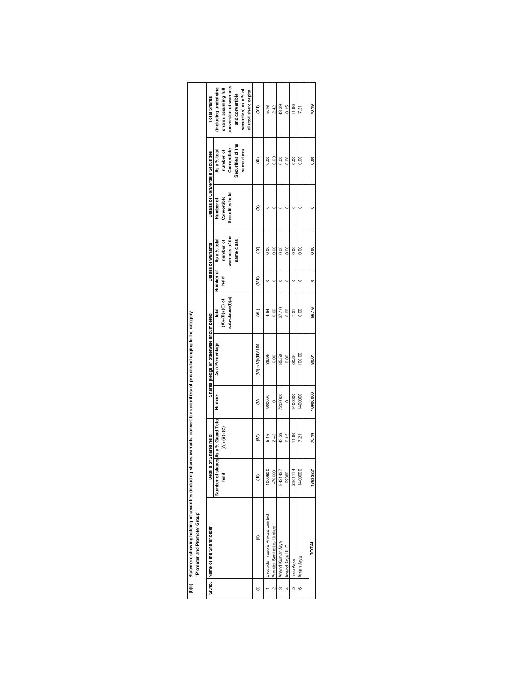|                | (I)(b) Statement showing holding of securities (including shares,warrants, convertible securities) of persons belonging to the category<br>"Promoter and Promoter Group" |          |                                                      |          |                                       |                               |                   |                           |                                   |                           |                                                |
|----------------|--------------------------------------------------------------------------------------------------------------------------------------------------------------------------|----------|------------------------------------------------------|----------|---------------------------------------|-------------------------------|-------------------|---------------------------|-----------------------------------|---------------------------|------------------------------------------------|
| Sr.No.         | Name of the Shareholder                                                                                                                                                  |          | Details of Shares held                               |          | Shares pledge or otherwise encumbered |                               |                   | Details of warrants       | Details of Convertible Securities |                           | <b>Total Shares</b>                            |
|                |                                                                                                                                                                          | held     | Number of shares As a % Grand Total<br>$(A)+(B)+(C)$ | Number   | As a Percentage                       | $(A) + (B) + (C)$ of<br>total | Number of<br>held | As a % total<br>number of | Convertible<br>Number of          | As a % total<br>number of | including underlying<br>shares assuming full   |
|                |                                                                                                                                                                          |          |                                                      |          |                                       | sub-clause(l)(a)              |                   | warrants of the           | Securities held                   | Convertible               | conversion of warrants                         |
|                |                                                                                                                                                                          |          |                                                      |          |                                       |                               |                   | same class                |                                   | Securities of the         | and convertible                                |
|                |                                                                                                                                                                          |          |                                                      |          |                                       |                               |                   |                           |                                   | same class                | securities) as a % of<br>diluted share capital |
|                |                                                                                                                                                                          |          | ξ                                                    | ε        | $(VI) = (V)/(II)$ *100                | Ĵ                             | (VIII)            | g                         | 8                                 | ≅                         | w                                              |
|                | Cressida Traders Private Limited                                                                                                                                         | 1000600  | 5.16                                                 | 900000   | 89.95                                 | 4.64                          | $\circ$           | 0.00                      |                                   | 0.00                      | 5.16                                           |
| $\sim$         | Premier Synthetics Limited                                                                                                                                               | 470000   | 2.42                                                 | $\circ$  | 0.00                                  | 0.00                          | c                 | 0.00                      |                                   | 0.00                      | 2.42                                           |
| m              | Anand Kumar Arya                                                                                                                                                         | 8421427  | 43.39                                                | 7200000  | 85.50                                 | 37.10                         | c                 | 0.00                      |                                   | 0.00                      | 43.39                                          |
| $\overline{4}$ | Anand Arya HUF                                                                                                                                                           | 29380    | 0.15                                                 | $\circ$  | 0.00                                  | 0.00                          | c                 | 0.00                      | c                                 | 0.00                      | 0.15                                           |
| မာ             | Indu Arya                                                                                                                                                                | 2301114  | 11.86                                                | 1400000  | 60.84                                 | 7.21                          | c                 | 0.00                      |                                   | 0.00                      | 11.86                                          |
| $\circ$        | Aman Arya                                                                                                                                                                | 1400000  | 7.21                                                 | 1400000  | 100.00                                | 0.00                          | $\circ$           | 0.00                      |                                   | 0.00                      | 7.21                                           |
|                |                                                                                                                                                                          |          |                                                      |          |                                       |                               |                   |                           |                                   |                           |                                                |
|                | <b>RTOT</b>                                                                                                                                                              | 13622521 | 70.19                                                | 10900000 | 80.01                                 | 56.16                         | o                 | 0.00                      |                                   | 0.00                      | 70.19                                          |
|                |                                                                                                                                                                          |          |                                                      |          |                                       |                               |                   |                           |                                   |                           |                                                |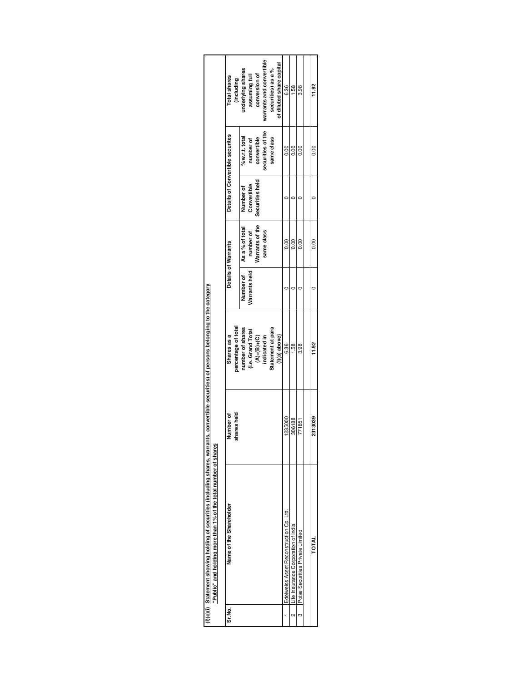|                                                                                                                                                | Total shares<br>(including         | varrants and convertible<br>securities) as a %<br>underlying shares<br>assuming full<br>conversion of | of diluted share capital | 6.36                                    | 1.58                               | 86<br>3.                         | $\frac{32}{11}$ |
|------------------------------------------------------------------------------------------------------------------------------------------------|------------------------------------|-------------------------------------------------------------------------------------------------------|--------------------------|-----------------------------------------|------------------------------------|----------------------------------|-----------------|
|                                                                                                                                                | Details of Convertible securites   | securities of the<br>% w.r.t. total<br>convertible<br>same class<br>number of                         |                          | 0.00                                    | 0.00                               | 0.00                             | $\frac{8}{10}$  |
|                                                                                                                                                |                                    | Securities held<br>Convertible<br>Number of                                                           |                          |                                         |                                    |                                  |                 |
|                                                                                                                                                | Details of Warrants                | Warrants of the<br>As a % of total<br>number of<br>same class                                         |                          | 0.00                                    | 0.00                               | 0.00                             | 0.00            |
|                                                                                                                                                |                                    | Varrants held<br>Number of                                                                            |                          |                                         |                                    |                                  |                 |
| its, convertible securities) of persons belonging to the category                                                                              | percentage of total<br>Shares as a | Statement at para<br>number of shares<br>(i.e. Grand Total<br>$(A)+(B)+(C)$<br>indicated in           | $(1)(a)$ above}          | 6.36                                    | 1.58                               | 88<br>3.                         | 11.92           |
|                                                                                                                                                | shares held<br>Number of           |                                                                                                       |                          | 1235000                                 | 306188                             | 771851                           | 2313039         |
| $b(c)(i)$ Statement showing holding of securities (including shares, warran<br>"Public" and holding more than 1% of the total number of shares | Name of the Shareholder            |                                                                                                       |                          | Edelweiss Asset Reconstruction Co. Ltd. | Ife Insurance Corporation of India | Poise Securities Private Limited | <b>RATOT</b>    |
|                                                                                                                                                | Sr.No                              |                                                                                                       |                          |                                         | $\sim$                             | $\sim$                           |                 |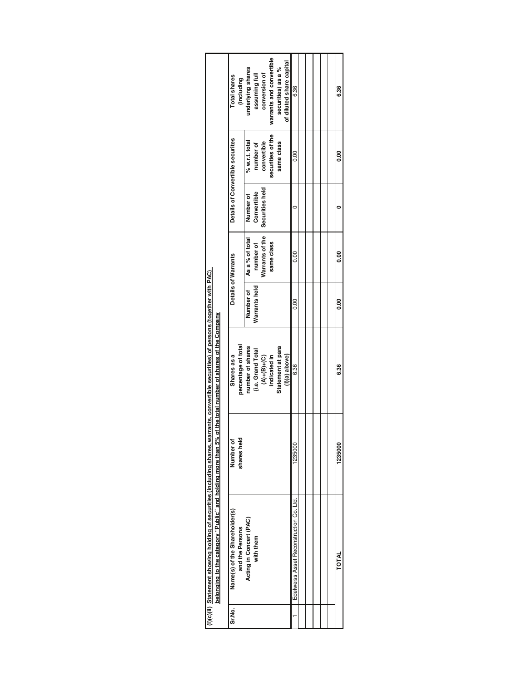| <b>Total shares</b><br>(including                | warrants and convertible<br>of diluted share capital<br>underlying shares<br>securities) as a %<br>assuming full<br>conversion of | 6.36                                    |  |  | 6.36    |  |
|--------------------------------------------------|-----------------------------------------------------------------------------------------------------------------------------------|-----------------------------------------|--|--|---------|--|
| Details of Convertible securites                 | securities of the<br>convertible<br>% w.r.t. total<br>same class<br>number of                                                     | $\frac{0}{0}$                           |  |  | ខ្លួ    |  |
|                                                  | Securities held<br>Convertible<br>Number of                                                                                       |                                         |  |  |         |  |
| Details of Warrants                              | Warrants of the<br>As a % of total<br>number of<br>same class                                                                     | 0.00                                    |  |  | 80      |  |
|                                                  | Number of<br>Warrants held                                                                                                        | $\frac{0}{0}$                           |  |  | 80      |  |
| percentage of total<br>Shares as a               | number of shares<br>Statement at para<br>(i.e. Grand Total<br>indicated in<br>$(1)(a)$ above}<br>$(A)+(B)+(C)$                    | 6.36                                    |  |  | 6.36    |  |
| shares held<br>Number of                         |                                                                                                                                   | 1235000                                 |  |  | 1235000 |  |
| Name(s) of the Shareholder(s)<br>and the Persons | Acting in Concert (PAC)<br>with them                                                                                              | Edelweiss Asset Reconstruction Co. Ltd. |  |  | TOTAL   |  |
| Sr.No.                                           |                                                                                                                                   |                                         |  |  |         |  |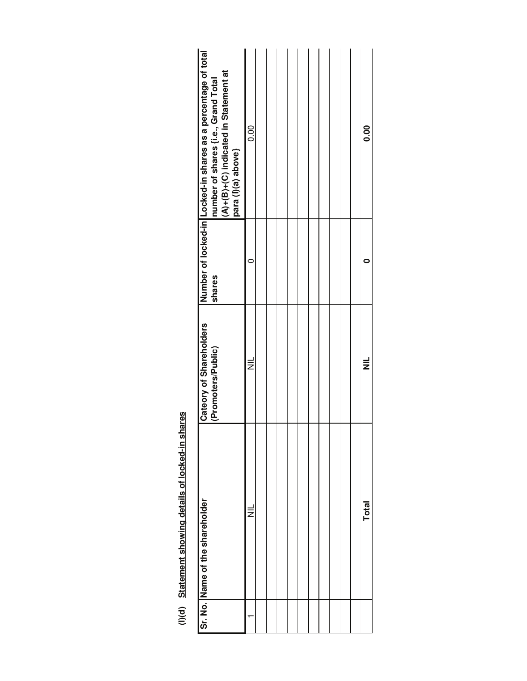| ١,<br>֧֧֧֧֧֧֧ׅ֧֧֧ׅ֧֪ׅ֧ׅ֧֧֧֧֧֧֧֛֚֚֚֚֚֚֚֚֚֚֚֚֚֚֚֚֚֚֡֡֡֡֡֡֡֡֡֡֡֡֡֬֝֬֝֬֝֓֬֓֬֜֓֝֬֝֬֜֝֬֝֬֝֬֝֬֝֬<br>֧֪֧֧֪֧֪֧֪֪֪֪֪֪֪֪֪֪֪֪֪֪֪֪֪֪֪֪֪֪֪֪֪֜<br>ï |
|--------------------------------------------------------------------------------------------------------------------------------------|
|                                                                                                                                      |
| i<br>ĺ                                                                                                                               |
| ֧֧֧֧ׅ֧֧֧֧֧֧֧֧֧֧֛֚֚֚֚֚֚֚֚֚֚֚֚֚֚֚֚֚֚֚֚֚֚֚֚֚֝֝֓֝֬֝֝֬֝֓֝֬֝֬֜֓֝֬֝֬<br>٦                                                                   |

| Number of locked-in Locked-in shares as a percentage of total<br>$(A)+(B)+(C)$ indicated in Statement at<br>number of shares {i.e., Grand Total<br>para (I)(a) above} | 0.00     |  |  |  |  |  | <b>0.00</b>  |
|-----------------------------------------------------------------------------------------------------------------------------------------------------------------------|----------|--|--|--|--|--|--------------|
| shares                                                                                                                                                                |          |  |  |  |  |  |              |
| <b>Cateory of Shareholders</b><br>(Promoters/Public)                                                                                                                  | $\equiv$ |  |  |  |  |  | $\equiv$     |
| Sr. No. Name of the shareholder                                                                                                                                       | $\equiv$ |  |  |  |  |  | <b>Total</b> |
|                                                                                                                                                                       |          |  |  |  |  |  |              |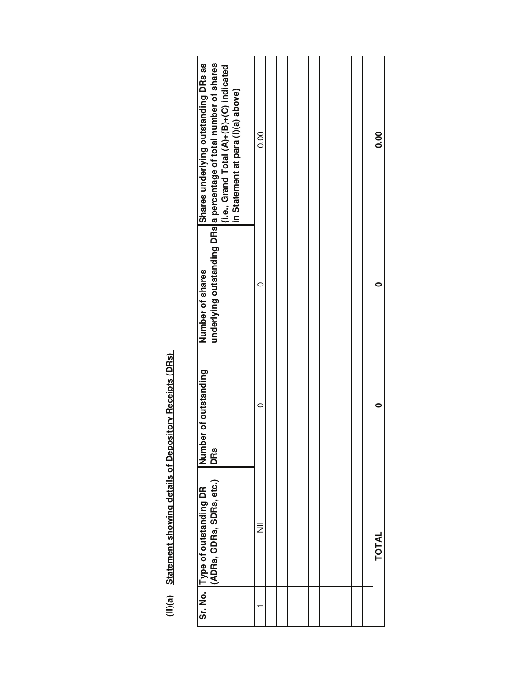(II)(a) Statement showing details of Depository Receipts (DRs) **Statement showing details of Depository Receipts (DRs)** 

| (ADRs, GDRs, SDRs, etc.)<br>Sr. No. Type of outstanding DR | Number of outstanding<br>DRS | Number of shares | Shares underlying outstanding DRs as<br>underlying outstanding DRs a percentage of total number of shares<br>(i.e., Grand Total (A)+(B)+(C) indicated<br>in Statement at para (I)(a) above} |
|------------------------------------------------------------|------------------------------|------------------|---------------------------------------------------------------------------------------------------------------------------------------------------------------------------------------------|
| W                                                          |                              |                  | 0.00                                                                                                                                                                                        |
|                                                            |                              |                  |                                                                                                                                                                                             |
|                                                            |                              |                  |                                                                                                                                                                                             |
|                                                            |                              |                  |                                                                                                                                                                                             |
|                                                            |                              |                  |                                                                                                                                                                                             |
|                                                            |                              |                  |                                                                                                                                                                                             |
|                                                            |                              |                  |                                                                                                                                                                                             |
|                                                            |                              |                  |                                                                                                                                                                                             |
|                                                            |                              |                  |                                                                                                                                                                                             |
|                                                            |                              |                  |                                                                                                                                                                                             |
|                                                            |                              |                  |                                                                                                                                                                                             |
| <b>TOTAL</b>                                               |                              |                  | <b>0.00</b>                                                                                                                                                                                 |